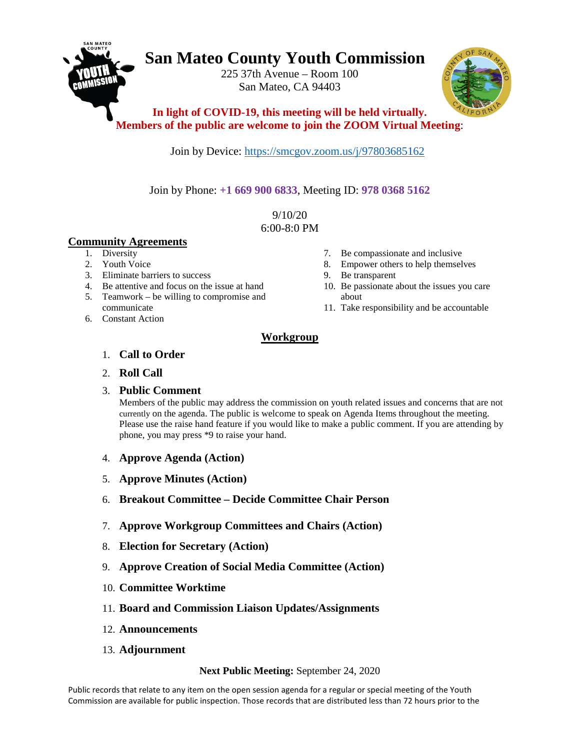# **San Mateo County Youth Commission**

225 37th Avenue – Room 100 San Mateo, CA 94403



**In light of COVID-19, this meeting will be held virtually. Members of the public are welcome to join the ZOOM Virtual Meeting**:

Join by Device: <https://smcgov.zoom.us/j/97803685162>

Join by Phone: **+1 669 900 6833**, Meeting ID: **978 0368 5162**

9/10/20 6:00-8:0 PM

## **Community Agreements**

- 1. Diversity
- 2. Youth Voice
- 3. Eliminate barriers to success
- 4. Be attentive and focus on the issue at hand
- 5. Teamwork be willing to compromise and communicate
- 6. Constant Action
- 7. Be compassionate and inclusive
- 8. Empower others to help themselves
- 9. Be transparent
- 10. Be passionate about the issues you care about
- 11. Take responsibility and be accountable

## **Workgroup**

- 1. **Call to Order**
- 2. **Roll Call**

### 3. **Public Comment**

Members of the public may address the commission on youth related issues and concerns that are not currently on the agenda. The public is welcome to speak on Agenda Items throughout the meeting. Please use the raise hand feature if you would like to make a public comment. If you are attending by phone, you may press \*9 to raise your hand.

- 4. **Approve Agenda (Action)**
- 5. **Approve Minutes (Action)**
- 6. **Breakout Committee – Decide Committee Chair Person**
- 7. **Approve Workgroup Committees and Chairs (Action)**
- 8. **Election for Secretary (Action)**
- 9. **Approve Creation of Social Media Committee (Action)**
- 10. **Committee Worktime**
- 11. **Board and Commission Liaison Updates/Assignments**
- 12. **Announcements**
- 13. **Adjournment**

### **Next Public Meeting:** September 24, 2020

Public records that relate to any item on the open session agenda for a regular or special meeting of the Youth Commission are available for public inspection. Those records that are distributed less than 72 hours prior to the